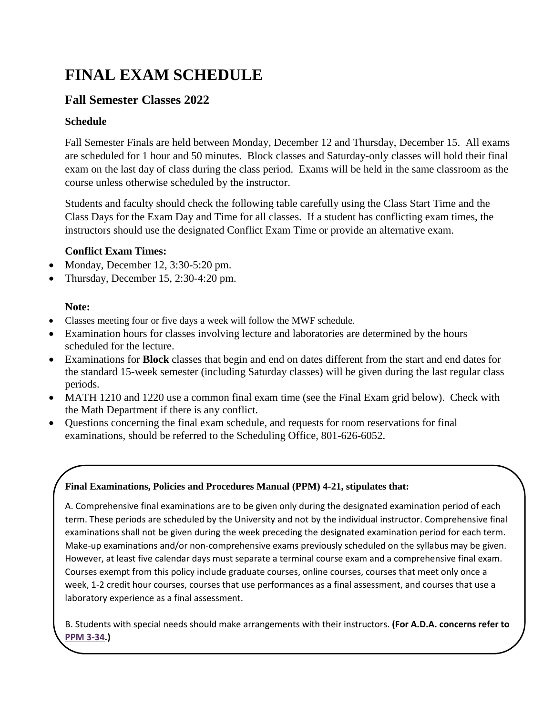# **FINAL EXAM SCHEDULE**

## **Fall Semester Classes 2022**

### **Schedule**

Fall Semester Finals are held between Monday, December 12 and Thursday, December 15. All exams are scheduled for 1 hour and 50 minutes. Block classes and Saturday-only classes will hold their final exam on the last day of class during the class period. Exams will be held in the same classroom as the course unless otherwise scheduled by the instructor.

Students and faculty should check the following table carefully using the Class Start Time and the Class Days for the Exam Day and Time for all classes. If a student has conflicting exam times, the instructors should use the designated Conflict Exam Time or provide an alternative exam.

### **Conflict Exam Times:**

- Monday, December 12, 3:30-5:20 pm.
- Thursday, December 15, 2:30-4:20 pm.

### **Note:**

- Classes meeting four or five days a week will follow the MWF schedule.
- Examination hours for classes involving lecture and laboratories are determined by the hours scheduled for the lecture.
- Examinations for **Block** classes that begin and end on dates different from the start and end dates for the standard 15-week semester (including Saturday classes) will be given during the last regular class periods.
- MATH 1210 and 1220 use a common final exam time (see the Final Exam grid below). Check with the Math Department if there is any conflict.
- Questions concerning the final exam schedule, and requests for room reservations for final examinations, should be referred to the Scheduling Office, 801-626-6052.

#### **Final Examinations, Policies and Procedures Manual (PPM) 4-21, stipulates that:**

A. Comprehensive final examinations are to be given only during the designated examination period of each term. These periods are scheduled by the University and not by the individual instructor. Comprehensive final examinations shall not be given during the week preceding the designated examination period for each term. Make-up examinations and/or non-comprehensive exams previously scheduled on the syllabus may be given. However, at least five calendar days must separate a terminal course exam and a comprehensive final exam. Courses exempt from this policy include graduate courses, online courses, courses that meet only once a week, 1-2 credit hour courses, courses that use performances as a final assessment, and courses that use a laboratory experience as a final assessment.

B. Students with special needs should make arrangements with their instructors. **(For A.D.A. concerns refer to [PPM 3-34.](http://www.weber.edu/ppm/Policies/3-34_ADA.html))**